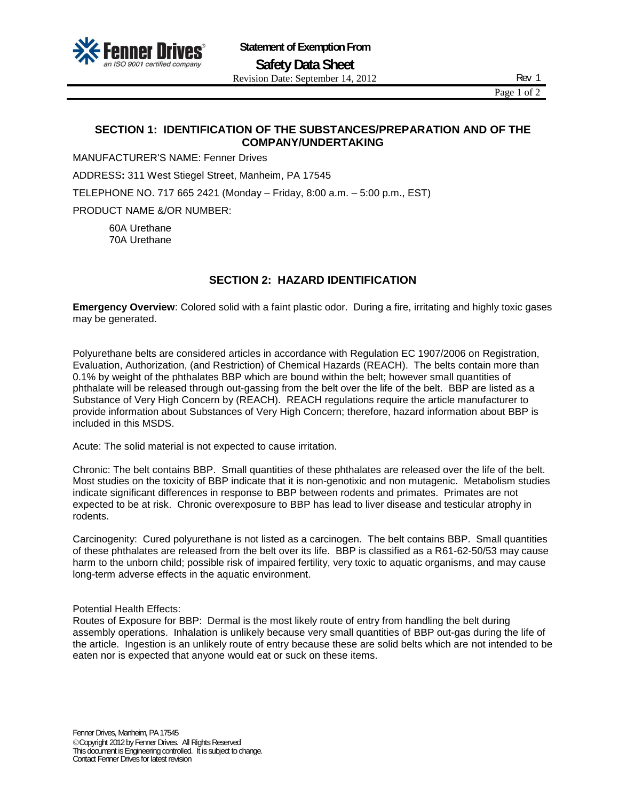

Page 1 of 2

# **SECTION 1: IDENTIFICATION OF THE SUBSTANCES/PREPARATION AND OF THE COMPANY/UNDERTAKING**

MANUFACTURER'S NAME: Fenner Drives

ADDRESS**:** 311 West Stiegel Street, Manheim, PA 17545

TELEPHONE NO. 717 665 2421 (Monday – Friday, 8:00 a.m. – 5:00 p.m., EST)

PRODUCT NAME &/OR NUMBER:

60A Urethane 70A Urethane

# **SECTION 2: HAZARD IDENTIFICATION**

**Emergency Overview**: Colored solid with a faint plastic odor. During a fire, irritating and highly toxic gases may be generated.

Polyurethane belts are considered articles in accordance with Regulation EC 1907/2006 on Registration, Evaluation, Authorization, (and Restriction) of Chemical Hazards (REACH). The belts contain more than 0.1% by weight of the phthalates BBP which are bound within the belt; however small quantities of phthalate will be released through out-gassing from the belt over the life of the belt. BBP are listed as a Substance of Very High Concern by (REACH). REACH regulations require the article manufacturer to provide information about Substances of Very High Concern; therefore, hazard information about BBP is included in this MSDS.

Acute: The solid material is not expected to cause irritation.

Chronic: The belt contains BBP. Small quantities of these phthalates are released over the life of the belt. Most studies on the toxicity of BBP indicate that it is non-genotixic and non mutagenic. Metabolism studies indicate significant differences in response to BBP between rodents and primates. Primates are not expected to be at risk. Chronic overexposure to BBP has lead to liver disease and testicular atrophy in rodents.

Carcinogenity: Cured polyurethane is not listed as a carcinogen. The belt contains BBP. Small quantities of these phthalates are released from the belt over its life. BBP is classified as a R61-62-50/53 may cause harm to the unborn child; possible risk of impaired fertility, very toxic to aquatic organisms, and may cause long-term adverse effects in the aquatic environment.

Potential Health Effects:

Routes of Exposure for BBP: Dermal is the most likely route of entry from handling the belt during assembly operations. Inhalation is unlikely because very small quantities of BBP out-gas during the life of the article. Ingestion is an unlikely route of entry because these are solid belts which are not intended to be eaten nor is expected that anyone would eat or suck on these items.